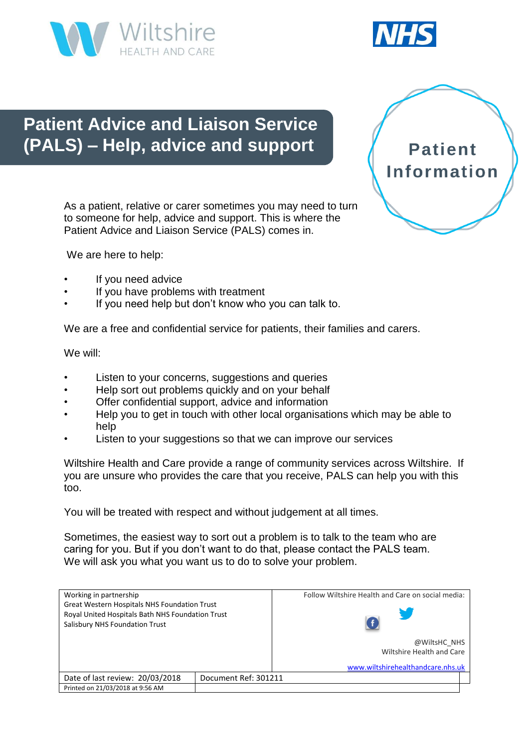



# **Patient Advice and Liaison Service (PALS) – Help, advice and support**

As a patient, relative or carer sometimes you may need to turn to someone for help, advice and support. This is where the Patient Advice and Liaison Service (PALS) comes in.



We are here to help:

- If you need advice
- If you have problems with treatment
- If you need help but don't know who you can talk to.

We are a free and confidential service for patients, their families and carers.

We will:

- Listen to your concerns, suggestions and queries
- Help sort out problems quickly and on your behalf
- Offer confidential support, advice and information
- Help you to get in touch with other local organisations which may be able to help
- Listen to your suggestions so that we can improve our services

Wiltshire Health and Care provide a range of community services across Wiltshire. If you are unsure who provides the care that you receive, PALS can help you with this too.

You will be treated with respect and without judgement at all times.

Sometimes, the easiest way to sort out a problem is to talk to the team who are caring for you. But if you don't want to do that, please contact the PALS team. We will ask you what you want us to do to solve your problem.

| Working in partnership<br><b>Great Western Hospitals NHS Foundation Trust</b><br>Royal United Hospitals Bath NHS Foundation Trust<br>Salisbury NHS Foundation Trust |                      | Follow Wiltshire Health and Care on social media: |
|---------------------------------------------------------------------------------------------------------------------------------------------------------------------|----------------------|---------------------------------------------------|
|                                                                                                                                                                     |                      |                                                   |
|                                                                                                                                                                     |                      | @WiltsHC NHS                                      |
|                                                                                                                                                                     |                      | Wiltshire Health and Care                         |
|                                                                                                                                                                     |                      | www.wiltshirehealthandcare.nhs.uk                 |
| Date of last review: 20/03/2018                                                                                                                                     | Document Ref: 301211 |                                                   |
| Printed on 21/03/2018 at 9:56 AM                                                                                                                                    |                      |                                                   |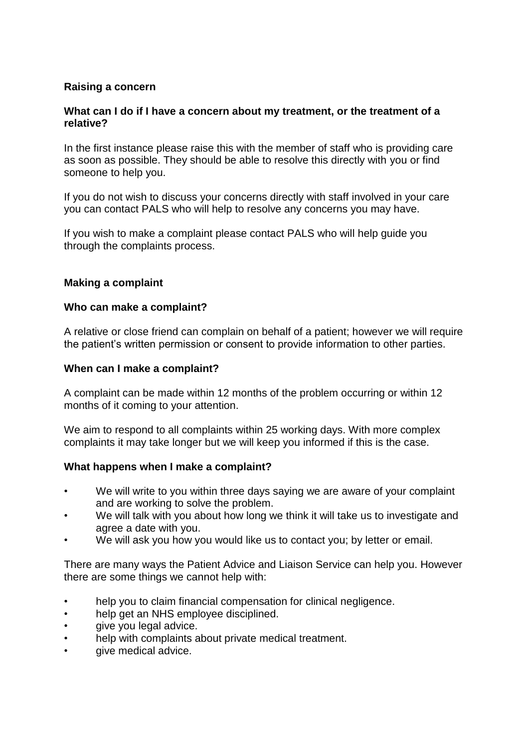## **Raising a concern**

## **What can I do if I have a concern about my treatment, or the treatment of a relative?**

In the first instance please raise this with the member of staff who is providing care as soon as possible. They should be able to resolve this directly with you or find someone to help you.

If you do not wish to discuss your concerns directly with staff involved in your care you can contact PALS who will help to resolve any concerns you may have.

If you wish to make a complaint please contact PALS who will help guide you through the complaints process.

#### **Making a complaint**

#### **Who can make a complaint?**

A relative or close friend can complain on behalf of a patient; however we will require the patient's written permission or consent to provide information to other parties.

#### **When can I make a complaint?**

A complaint can be made within 12 months of the problem occurring or within 12 months of it coming to your attention.

We aim to respond to all complaints within 25 working days. With more complex complaints it may take longer but we will keep you informed if this is the case.

## **What happens when I make a complaint?**

- We will write to you within three days saying we are aware of your complaint and are working to solve the problem.
- We will talk with you about how long we think it will take us to investigate and agree a date with you.
- We will ask you how you would like us to contact you; by letter or email.

There are many ways the Patient Advice and Liaison Service can help you. However there are some things we cannot help with:

- help you to claim financial compensation for clinical negligence.
- help get an NHS employee disciplined.
- give you legal advice.
- help with complaints about private medical treatment.
- give medical advice.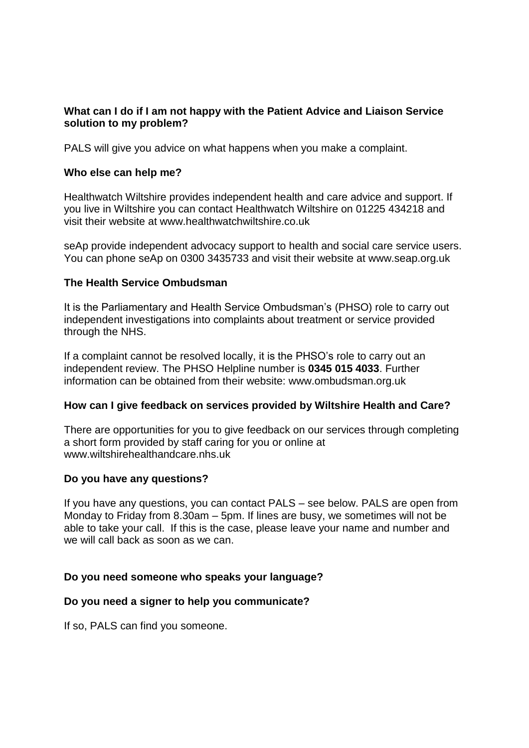## **What can I do if I am not happy with the Patient Advice and Liaison Service solution to my problem?**

PALS will give you advice on what happens when you make a complaint.

### **Who else can help me?**

Healthwatch Wiltshire provides independent health and care advice and support. If you live in Wiltshire you can contact Healthwatch Wiltshire on 01225 434218 and visit their website at www.healthwatchwiltshire.co.uk

seAp provide independent advocacy support to health and social care service users. You can phone seAp on 0300 3435733 and visit their website at www.seap.org.uk

#### **The Health Service Ombudsman**

It is the Parliamentary and Health Service Ombudsman's (PHSO) role to carry out independent investigations into complaints about treatment or service provided through the NHS.

If a complaint cannot be resolved locally, it is the PHSO's role to carry out an independent review. The PHSO Helpline number is **0345 015 4033**. Further information can be obtained from their website: www.ombudsman.org.uk

## **How can I give feedback on services provided by Wiltshire Health and Care?**

There are opportunities for you to give feedback on our services through completing a short form provided by staff caring for you or online at www.wiltshirehealthandcare.nhs.uk

## **Do you have any questions?**

If you have any questions, you can contact PALS – see below. PALS are open from Monday to Friday from 8.30am – 5pm. If lines are busy, we sometimes will not be able to take your call. If this is the case, please leave your name and number and we will call back as soon as we can.

#### **Do you need someone who speaks your language?**

## **Do you need a signer to help you communicate?**

If so, PALS can find you someone.